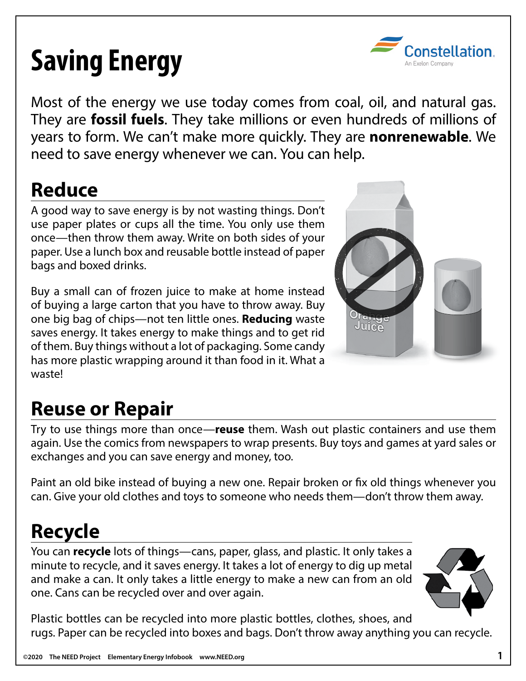# **Saving Energy**



Most of the energy we use today comes from coal, oil, and natural gas. They are **fossil fuels**. They take millions or even hundreds of millions of years to form. We can't make more quickly. They are **nonrenewable**. We need to save energy whenever we can. You can help.

# **Reduce**

A good way to save energy is by not wasting things. Don't use paper plates or cups all the time. You only use them once—then throw them away. Write on both sides of your paper. Use a lunch box and reusable bottle instead of paper bags and boxed drinks.

Buy a small can of frozen juice to make at home instead of buying a large carton that you have to throw away. Buy one big bag of chips—not ten little ones. **Reducing** waste saves energy. It takes energy to make things and to get rid of them. Buy things without a lot of packaging. Some candy has more plastic wrapping around it than food in it. What a waste!



# **Reuse or Repair**

Try to use things more than once—**reuse** them. Wash out plastic containers and use them again. Use the comics from newspapers to wrap presents. Buy toys and games at yard sales or exchanges and you can save energy and money, too.

Paint an old bike instead of buying a new one. Repair broken or fix old things whenever you can. Give your old clothes and toys to someone who needs them—don't throw them away.

### **Recycle**

You can **recycle** lots of things—cans, paper, glass, and plastic. It only takes a minute to recycle, and it saves energy. It takes a lot of energy to dig up metal and make a can. It only takes a little energy to make a new can from an old one. Cans can be recycled over and over again.



Plastic bottles can be recycled into more plastic bottles, clothes, shoes, and rugs. Paper can be recycled into boxes and bags. Don't throw away anything you can recycle.